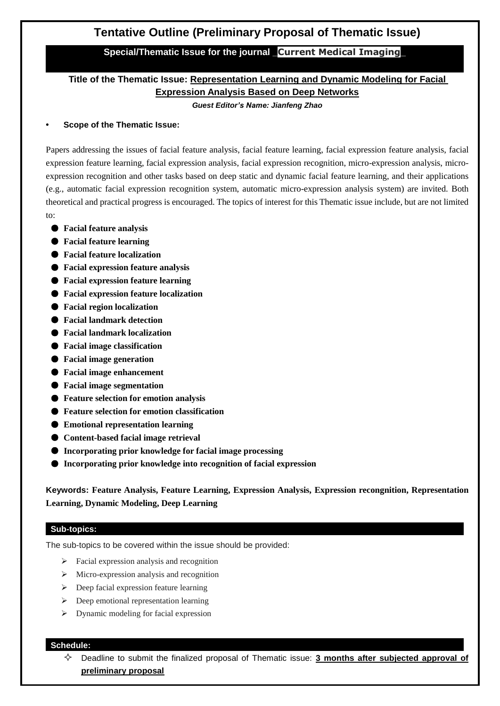# **Tentative Outline (Preliminary Proposal of Thematic Issue)**

# **Special/Thematic Issue for the journal \_Current Medical Imaging\_**

# **Title of the Thematic Issue: Representation Learning and Dynamic Modeling for Facial Expression Analysis Based on Deep Networks**

*Guest Editor's Name: Jianfeng Zhao*

### **• Scope of the Thematic Issue:**

Papers addressing the issues of facial feature analysis, facial feature learning, facial expression feature analysis, facial expression feature learning, facial expression analysis, facial expression recognition, micro-expression analysis, microexpression recognition and other tasks based on deep static and dynamic facial feature learning, and their applications (e.g., automatic facial expression recognition system, automatic micro-expression analysis system) are invited. Both theoretical and practical progress is encouraged. The topics of interest for this Thematic issue include, but are not limited to:

- **Facial feature analysis**
- **Facial feature learning**
- **Facial feature localization**
- **Facial expression feature analysis**
- **Facial expression feature learning**
- **Facial expression feature localization**
- **Facial region localization**
- **Facial landmark detection**
- **Facial landmark localization**
- **Facial image classification**
- **Facial image generation**
- **Facial image enhancement**
- **Facial image segmentation**
- **Feature selection for emotion analysis**
- **Feature selection for emotion classification**
- **Emotional representation learning**
- **Content-based facial image retrieval**
- **Incorporating prior knowledge for facial image processing**
- **Incorporating prior knowledge into recognition of facial expression**

**Keywords: Feature Analysis, Feature Learning, Expression Analysis, Expression recongnition, Representation Learning, Dynamic Modeling, Deep Learning**

#### **Sub-topics:**

The sub-topics to be covered within the issue should be provided:

- $\triangleright$  Facial expression analysis and recognition
- $\triangleright$  Micro-expression analysis and recognition
- $\triangleright$  Deep facial expression feature learning
- $\triangleright$  Deep emotional representation learning
- $\triangleright$  Dynamic modeling for facial expression

#### **Schedule:**

 Deadline to submit the finalized proposal of Thematic issue: **3 months after subjected approval of preliminary proposal**